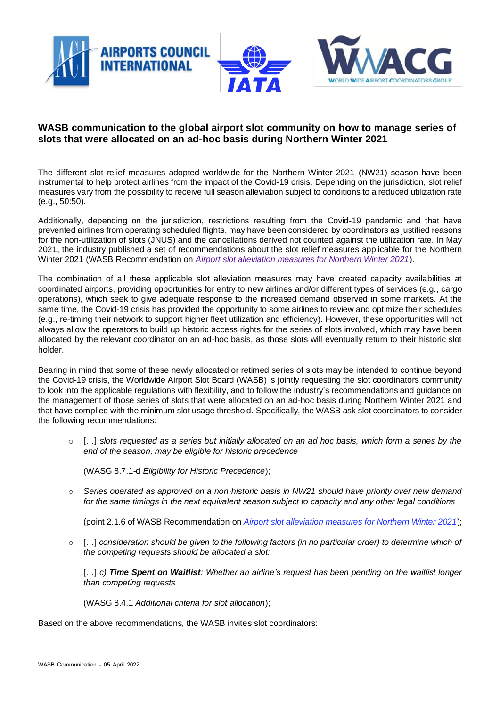

## **WASB communication to the global airport slot community on how to manage series of slots that were allocated on an ad-hoc basis during Northern Winter 2021**

The different slot relief measures adopted worldwide for the Northern Winter 2021 (NW21) season have been instrumental to help protect airlines from the impact of the Covid-19 crisis. Depending on the jurisdiction, slot relief measures vary from the possibility to receive full season alleviation subject to conditions to a reduced utilization rate (e.g., 50:50).

Additionally, depending on the jurisdiction, restrictions resulting from the Covid-19 pandemic and that have prevented airlines from operating scheduled flights, may have been considered by coordinators as justified reasons for the non-utilization of slots (JNUS) and the cancellations derived not counted against the utilization rate. In May 2021, the industry published a set of recommendations about the slot relief measures applicable for the Northern Winter 2021 (WASB Recommendation on *[Airport slot alleviation measures for Northern Winter 2021](https://aci.aero/wp-content/uploads/2021/10/wasb-northern-winter-2021.pdf)*).

The combination of all these applicable slot alleviation measures may have created capacity availabilities at coordinated airports, providing opportunities for entry to new airlines and/or different types of services (e.g., cargo operations), which seek to give adequate response to the increased demand observed in some markets. At the same time, the Covid-19 crisis has provided the opportunity to some airlines to review and optimize their schedules (e.g., re-timing their network to support higher fleet utilization and efficiency). However, these opportunities will not always allow the operators to build up historic access rights for the series of slots involved, which may have been allocated by the relevant coordinator on an ad-hoc basis, as those slots will eventually return to their historic slot holder.

Bearing in mind that some of these newly allocated or retimed series of slots may be intended to continue beyond the Covid-19 crisis, the Worldwide Airport Slot Board (WASB) is jointly requesting the slot coordinators community to look into the applicable regulations with flexibility, and to follow the industry's recommendations and guidance on the management of those series of slots that were allocated on an ad-hoc basis during Northern Winter 2021 and that have complied with the minimum slot usage threshold. Specifically, the WASB ask slot coordinators to consider the following recommendations:

o […] *slots requested as a series but initially allocated on an ad hoc basis, which form a series by the end of the season, may be eligible for historic precedence*

(WASG 8.7.1-d *Eligibility for Historic Precedence*);

o *Series operated as approved on a non-historic basis in NW21 should have priority over new demand for the same timings in the next equivalent season subject to capacity and any other legal conditions*

(point 2.1.6 of WASB Recommendation on *[Airport slot alleviation measures for Northern Winter 2021](https://aci.aero/wp-content/uploads/2021/10/wasb-northern-winter-2021.pdf)*);

o […] *consideration should be given to the following factors (in no particular order) to determine which of the competing requests should be allocated a slot:*

[…] *c) Time Spent on Waitlist: Whether an airline's request has been pending on the waitlist longer than competing requests*

(WASG 8.4.1 *Additional criteria for slot allocation*);

Based on the above recommendations, the WASB invites slot coordinators: